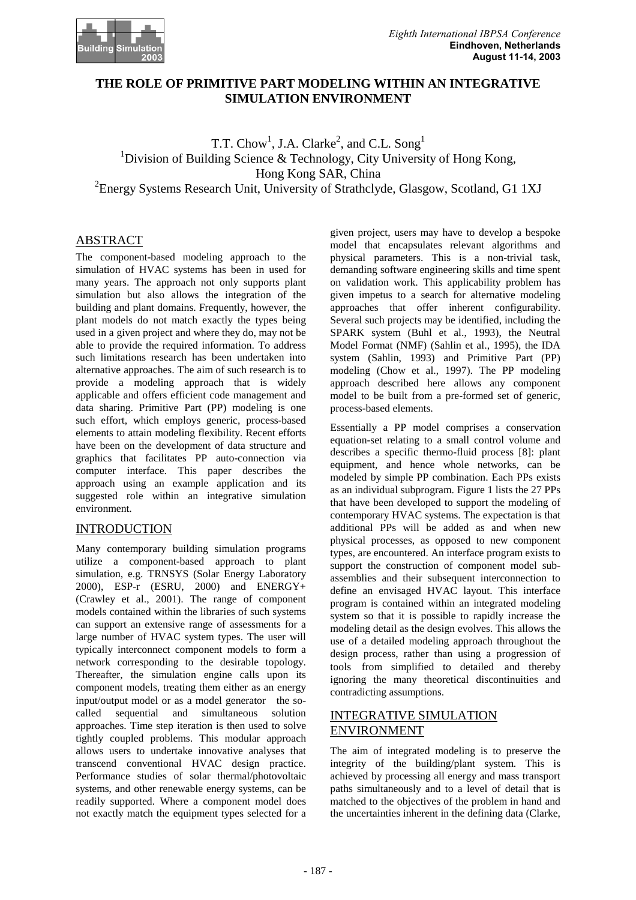

## **THE ROLE OF PRIMITIVE PART MODELING WITHIN AN INTEGRATIVE SIMULATION ENVIRONMENT**

T.T. Chow<sup>1</sup>, J.A. Clarke<sup>2</sup>, and C.L. Song<sup>1</sup> <sup>1</sup>Division of Building Science & Technology, City University of Hong Kong, Hong Kong SAR, China <sup>2</sup> Energy Systems Research Unit, University of Strathclyde, Glasgow, Scotland, G1 1XJ

## ABSTRACT

The component-based modeling approach to the simulation of HVAC systems has been in used for many years. The approach not only supports plant simulation but also allows the integration of the building and plant domains. Frequently, however, the plant models do not match exactly the types being used in a given project and where they do, may not be able to provide the required information. To address such limitations research has been undertaken into alternative approaches. The aim of such research is to provide a modeling approach that is widely applicable and offers efficient code management and data sharing. Primitive Part (PP) modeling is one such effort, which employs generic, process-based elements to attain modeling flexibility. Recent efforts have been on the development of data structure and graphics that facilitates PP auto-connection via computer interface. This paper describes the approach using an example application and its suggested role within an integrative simulation environment.

## INTRODUCTION

Many contemporary building simulation programs utilize a component-based approach to plant simulation, e.g. TRNSYS (Solar Energy Laboratory 2000), ESP-r (ESRU, 2000) and ENERGY+ (Crawley et al., 2001). The range of component models contained within the libraries of such systems can support an extensive range of assessments for a large number of HVAC system types. The user will typically interconnect component models to form a network corresponding to the desirable topology. Thereafter, the simulation engine calls upon its component models, treating them either as an energy input/output model or as a model generator—the socalled sequential and simultaneous solution approaches. Time step iteration is then used to solve tightly coupled problems. This modular approach allows users to undertake innovative analyses that transcend conventional HVAC design practice. Performance studies of solar thermal/photovoltaic systems, and other renewable energy systems, can be readily supported. Where a component model does not exactly match the equipment types selected for a

given project, users may have to develop a bespoke model that encapsulates relevant algorithms and physical parameters. This is a non-trivial task, demanding software engineering skills and time spent on validation work. This applicability problem has given impetus to a search for alternative modeling approaches that offer inherent configurability. Several such projects may be identified, including the SPARK system (Buhl et al., 1993), the Neutral Model Format (NMF) (Sahlin et al., 1995), the IDA system (Sahlin, 1993) and Primitive Part (PP) modeling (Chow et al., 1997). The PP modeling approach described here allows any component model to be built from a pre-formed set of generic, process-based elements.

Essentially a PP model comprises a conservation equation-set relating to a small control volume and describes a specific thermo-fluid process [8]: plant equipment, and hence whole networks, can be modeled by simple PP combination. Each PPs exists as an individual subprogram. Figure 1 lists the 27 PPs that have been developed to support the modeling of contemporary HVAC systems. The expectation is that additional PPs will be added as and when new physical processes, as opposed to new component types, are encountered. An interface program exists to support the construction of component model subassemblies and their subsequent interconnection to define an envisaged HVAC layout. This interface program is contained within an integrated modeling system so that it is possible to rapidly increase the modeling detail as the design evolves. This allows the use of a detailed modeling approach throughout the design process, rather than using a progression of tools—from simplified to detailed—and thereby ignoring the many theoretical discontinuities and contradicting assumptions.

## INTEGRATIVE SIMULATION ENVIRONMENT

The aim of integrated modeling is to preserve the integrity of the building/plant system. This is achieved by processing all energy and mass transport paths simultaneously and to a level of detail that is matched to the objectives of the problem in hand and the uncertainties inherent in the defining data (Clarke,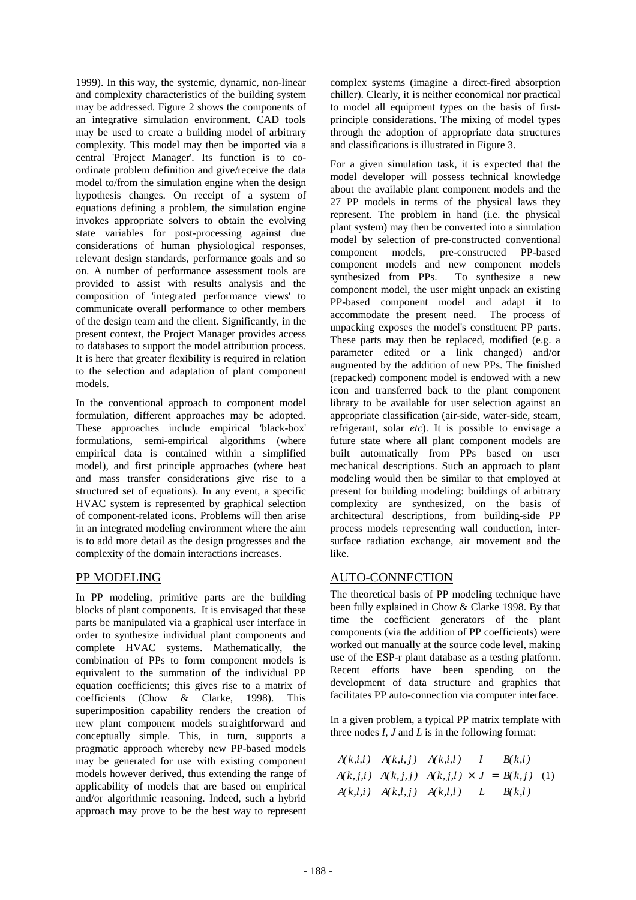1999). In this way, the systemic, dynamic, non-linear and complexity characteristics of the building system may be addressed. Figure 2 shows the components of an integrative simulation environment. CAD tools may be used to create a building model of arbitrary complexity. This model may then be imported via a central 'Project Manager'. Its function is to coordinate problem definition and give/receive the data model to/from the simulation engine when the design hypothesis changes. On receipt of a system of equations defining a problem, the simulation engine invokes appropriate solvers to obtain the evolving state variables for post-processing against due considerations of human physiological responses, relevant design standards, performance goals and so on. A number of performance assessment tools are provided to assist with results analysis and the composition of 'integrated performance views' to communicate overall performance to other members of the design team and the client. Significantly, in the present context, the Project Manager provides access to databases to support the model attribution process. It is here that greater flexibility is required in relation to the selection and adaptation of plant component models.

In the conventional approach to component model formulation, different approaches may be adopted. These approaches include empirical 'black-box' formulations, semi-empirical algorithms (where empirical data is contained within a simplified model), and first principle approaches (where heat and mass transfer considerations give rise to a structured set of equations). In any event, a specific HVAC system is represented by graphical selection of component-related icons. Problems will then arise in an integrated modeling environment where the aim is to add more detail as the design progresses and the complexity of the domain interactions increases.

## PP MODELING

In PP modeling, primitive parts are the building blocks of plant components. It is envisaged that these parts be manipulated via a graphical user interface in order to synthesize individual plant components and complete HVAC systems. Mathematically, the combination of PPs to form component models is equivalent to the summation of the individual PP equation coefficients; this gives rise to a matrix of coefficients (Chow & Clarke, 1998). This superimposition capability renders the creation of new plant component models straightforward and conceptually simple. This, in turn, supports a pragmatic approach whereby new PP-based models may be generated for use with existing component models however derived, thus extending the range of applicability of models that are based on empirical and/or algorithmic reasoning. Indeed, such a hybrid approach may prove to be the best way to represent

complex systems (imagine a direct-fired absorption chiller). Clearly, it is neither economical nor practical to model all equipment types on the basis of firstprinciple considerations. The mixing of model types through the adoption of appropriate data structures and classifications is illustrated in Figure 3.

For a given simulation task, it is expected that the model developer will possess technical knowledge about the available plant component models and the 27 PP models in terms of the physical laws they represent. The problem in hand (i.e. the physical plant system) may then be converted into a simulation model by selection of pre-constructed conventional component models, pre-constructed PP-based component models and new component models synthesized from PPs. To synthesize a new component model, the user might unpack an existing PP-based component model and adapt it to accommodate the present need. The process of unpacking exposes the model's constituent PP parts. These parts may then be replaced, modified (e.g. a parameter edited or a link changed) and/or augmented by the addition of new PPs. The finished (repacked) component model is endowed with a new icon and transferred back to the plant component library to be available for user selection against an appropriate classification (air-side, water-side, steam, refrigerant, solar *etc*). It is possible to envisage a future state where all plant component models are built automatically from PPs based on user mechanical descriptions. Such an approach to plant modeling would then be similar to that employed at present for building modeling: buildings of arbitrary complexity are synthesized, on the basis of architectural descriptions, from building-side PP process models representing wall conduction, intersurface radiation exchange, air movement and the like.

## AUTO-CONNECTION

The theoretical basis of PP modeling technique have been fully explained in Chow & Clarke 1998. By that time the coefficient generators of the plant components (via the addition of PP coefficients) were worked out manually at the source code level, making use of the ESP-r plant database as a testing platform. Recent efforts have been spending on the development of data structure and graphics that facilitates PP auto-connection via computer interface.

In a given problem, a typical PP matrix template with three nodes *I*, *J* and *L* is in the following format:

$$
\begin{bmatrix} A(k,i,i) & A(k,i,j) & A(k,i,l) \ A(k,j,i) & A(k,j,j) & A(k,j,l) \ A(k,l,i) & A(k,l,j) & A(k,l,l) \end{bmatrix} \times \begin{bmatrix} I \\ J \\ L \end{bmatrix} = \begin{bmatrix} B(k,i) \\ B(k,j) \\ B(k,l) \end{bmatrix} (1)
$$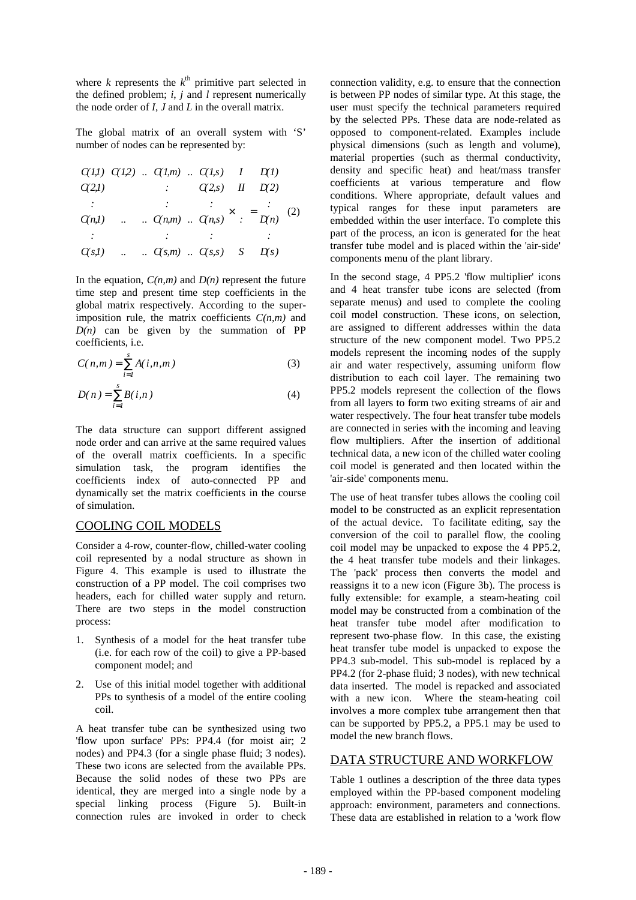where  $k$  represents the  $k^{\text{th}}$  primitive part selected in the defined problem; *i*, *j* and *l* represent numerically the node order of *I*, *J* and *L* in the overall matrix.

The global matrix of an overall system with 'S' number of nodes can be represented by:

$$
\begin{bmatrix}\nC(1,1) & C(1,2) & \dots & C(1,m) & \dots & C(1,s) \\
C(2,1) & \dots & \dots & C(2,s) & \dots \\
\vdots & \vdots & \ddots & \vdots & \vdots \\
C(n,1) & \dots & \dots & C(n,m) & \dots & C(n,s)\n\end{bmatrix}\n\times\n\begin{bmatrix}\nI \\
m \\
\vdots \\
m \\
\vdots \\
m\n\end{bmatrix}\n\begin{bmatrix}\nD(1) \\
D(2) \\
\vdots \\
D(n)\n\end{bmatrix}\n\tag{2}
$$
\n
$$
\begin{bmatrix}\nC(1,1) & \dots & \dots & C(n,m) & \dots & C(n,s)\n\end{bmatrix}\n\times\n\begin{bmatrix}\nI \\
m \\
\vdots \\
m \\
\vdots \\
m\n\end{bmatrix}\n\begin{bmatrix}\nD(1) \\
D(2) \\
\vdots \\
D(n)\n\end{bmatrix}\n\tag{2}
$$

In the equation,  $C(n,m)$  and  $D(n)$  represent the future time step and present time step coefficients in the global matrix respectively. According to the superimposition rule, the matrix coefficients  $C(n,m)$  and  $D(n)$  can be given by the summation of PP coefficients, i.e.

$$
C(n,m) = \sum_{i=1}^{s} A(i,n,m)
$$
 (3)

$$
D(n) = \sum_{i=1}^{s} B(i, n)
$$
 (4)

The data structure can support different assigned node order and can arrive at the same required values of the overall matrix coefficients. In a specific simulation task, the program identifies the coefficients index of auto-connected PP and dynamically set the matrix coefficients in the course of simulation.

### COOLING COIL MODELS

Consider a 4-row, counter-flow, chilled-water cooling coil represented by a nodal structure as shown in Figure 4. This example is used to illustrate the construction of a PP model. The coil comprises two headers, each for chilled water supply and return. There are two steps in the model construction process:

- 1. Synthesis of a model for the heat transfer tube (i.e. for each row of the coil) to give a PP-based component model; and
- 2. Use of this initial model together with additional PPs to synthesis of a model of the entire cooling coil.

A heat transfer tube can be synthesized using two 'flow upon surface' PPs: PP4.4 (for moist air; 2 nodes) and PP4.3 (for a single phase fluid; 3 nodes). These two icons are selected from the available PPs. Because the solid nodes of these two PPs are identical, they are merged into a single node by a special linking process (Figure 5). Built-in connection rules are invoked in order to check

connection validity, e.g. to ensure that the connection is between PP nodes of similar type. At this stage, the user must specify the technical parameters required by the selected PPs. These data are node-related as opposed to component-related. Examples include physical dimensions (such as length and volume), material properties (such as thermal conductivity, density and specific heat) and heat/mass transfer coefficients at various temperature and flow conditions. Where appropriate, default values and typical ranges for these input parameters are embedded within the user interface. To complete this part of the process, an icon is generated for the heat transfer tube model and is placed within the 'air-side' components menu of the plant library.

In the second stage, 4 PP5.2 'flow multiplier' icons and 4 heat transfer tube icons are selected (from separate menus) and used to complete the cooling coil model construction. These icons, on selection, are assigned to different addresses within the data structure of the new component model. Two PP5.2 models represent the incoming nodes of the supply air and water respectively, assuming uniform flow distribution to each coil layer. The remaining two PP5.2 models represent the collection of the flows from all layers to form two exiting streams of air and water respectively. The four heat transfer tube models are connected in series with the incoming and leaving flow multipliers. After the insertion of additional technical data, a new icon of the chilled water cooling coil model is generated and then located within the 'air-side' components menu.

The use of heat transfer tubes allows the cooling coil model to be constructed as an explicit representation of the actual device. To facilitate editing, say the conversion of the coil to parallel flow, the cooling coil model may be unpacked to expose the 4 PP5.2, the 4 heat transfer tube models and their linkages. The 'pack' process then converts the model and reassigns it to a new icon (Figure 3b). The process is fully extensible: for example, a steam-heating coil model may be constructed from a combination of the heat transfer tube model after modification to represent two-phase flow. In this case, the existing heat transfer tube model is unpacked to expose the PP4.3 sub-model. This sub-model is replaced by a PP4.2 (for 2-phase fluid; 3 nodes), with new technical data inserted. The model is repacked and associated with a new icon. Where the steam-heating coil involves a more complex tube arrangement then that can be supported by PP5.2, a PP5.1 may be used to model the new branch flows.

## DATA STRUCTURE AND WORKFLOW

Table 1 outlines a description of the three data types employed within the PP-based component modeling approach: environment, parameters and connections. These data are established in relation to a 'work flow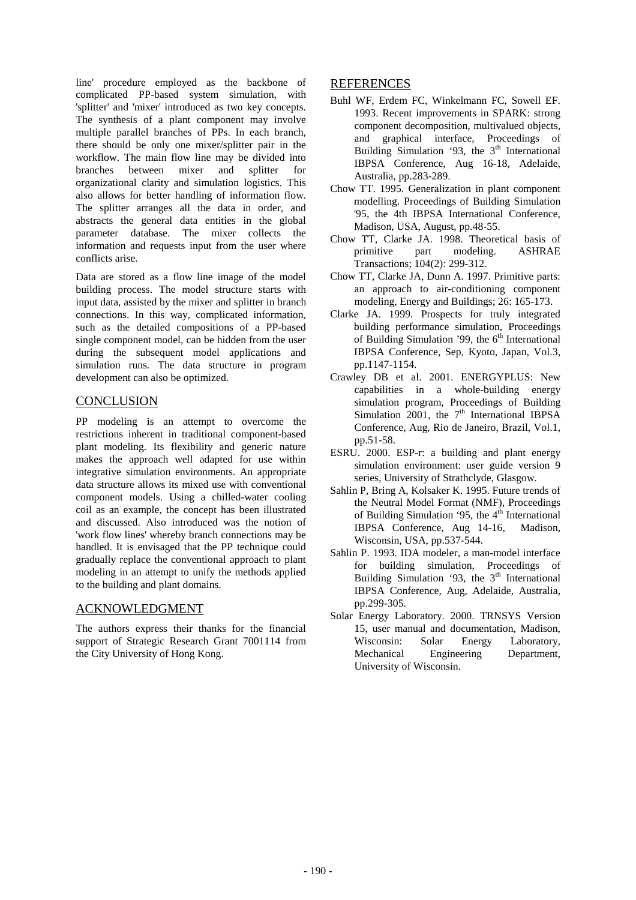line' procedure employed as the backbone of complicated PP-based system simulation, with 'splitter' and 'mixer' introduced as two key concepts. The synthesis of a plant component may involve multiple parallel branches of PPs. In each branch, there should be only one mixer/splitter pair in the workflow. The main flow line may be divided into branches between mixer and splitter for organizational clarity and simulation logistics. This also allows for better handling of information flow. The splitter arranges all the data in order, and abstracts the general data entities in the global parameter database. The mixer collects the information and requests input from the user where conflicts arise.

Data are stored as a flow line image of the model building process. The model structure starts with input data, assisted by the mixer and splitter in branch connections. In this way, complicated information, such as the detailed compositions of a PP-based single component model, can be hidden from the user during the subsequent model applications and simulation runs. The data structure in program development can also be optimized.

## **CONCLUSION**

PP modeling is an attempt to overcome the restrictions inherent in traditional component-based plant modeling. Its flexibility and generic nature makes the approach well adapted for use within integrative simulation environments. An appropriate data structure allows its mixed use with conventional component models. Using a chilled-water cooling coil as an example, the concept has been illustrated and discussed. Also introduced was the notion of 'work flow lines' whereby branch connections may be handled. It is envisaged that the PP technique could gradually replace the conventional approach to plant modeling in an attempt to unify the methods applied to the building and plant domains.

## ACKNOWLEDGMENT

The authors express their thanks for the financial support of Strategic Research Grant 7001114 from the City University of Hong Kong.

### REFERENCES

- Buhl WF, Erdem FC, Winkelmann FC, Sowell EF. 1993. Recent improvements in SPARK: strong component decomposition, multivalued objects, and graphical interface, Proceedings of Building Simulation '93, the  $3<sup>th</sup>$  International IBPSA Conference, Aug 16-18, Adelaide, Australia, pp.283-289.
- Chow TT. 1995. Generalization in plant component modelling. Proceedings of Building Simulation '95, the 4th IBPSA International Conference, Madison, USA, August, pp.48-55.
- Chow TT, Clarke JA. 1998. Theoretical basis of primitive part modeling. ASHRAE Transactions; 104(2): 299-312.
- Chow TT, Clarke JA, Dunn A. 1997. Primitive parts: an approach to air-conditioning component modeling, Energy and Buildings; 26: 165-173.
- Clarke JA. 1999. Prospects for truly integrated building performance simulation, Proceedings of Building Simulation '99, the  $6<sup>th</sup>$  International IBPSA Conference, Sep, Kyoto, Japan, Vol.3, pp.1147-1154.
- Crawley DB et al. 2001. ENERGYPLUS: New capabilities in a whole-building energy simulation program, Proceedings of Building Simulation 2001, the  $7<sup>th</sup>$  International IBPSA Conference, Aug, Rio de Janeiro, Brazil, Vol.1, pp.51-58.
- ESRU. 2000. ESP-r: a building and plant energy simulation environment: user guide version 9 series, University of Strathclyde, Glasgow.
- Sahlin P, Bring A, Kolsaker K. 1995. Future trends of the Neutral Model Format (NMF), Proceedings of Building Simulation '95, the  $4<sup>th</sup>$  International IBPSA Conference, Aug 14-16, Madison, Wisconsin, USA, pp.537-544.
- Sahlin P. 1993. IDA modeler, a man-model interface for building simulation, Proceedings of Building Simulation '93, the  $3<sup>th</sup>$  International IBPSA Conference, Aug, Adelaide, Australia, pp.299-305.
- Solar Energy Laboratory. 2000. TRNSYS Version 15, user manual and documentation, Madison, Wisconsin: Solar Energy Laboratory, Mechanical Engineering Department, University of Wisconsin.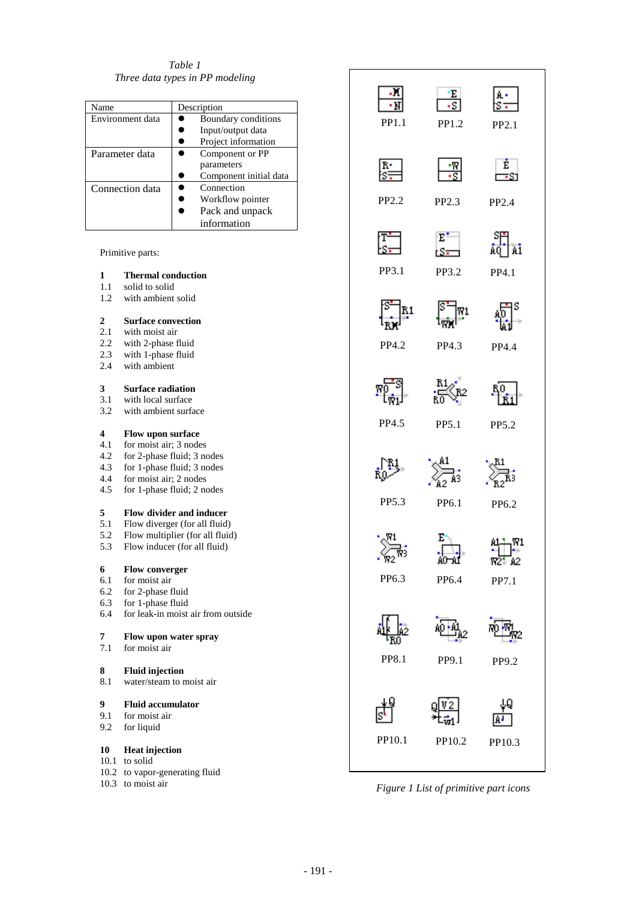*Table 1 Three data types in PP modeling* 

| Name             | Description            |
|------------------|------------------------|
| Environment data | Boundary conditions    |
|                  | Input/output data      |
|                  | Project information    |
| Parameter data   | Component or PP        |
|                  | parameters             |
|                  | Component initial data |
| Connection data  | Connection             |
|                  | Workflow pointer       |
|                  | Pack and unpack        |
|                  | information            |

#### Primitive parts:

#### **1 Thermal conduction**

- 1.1 solid to solid<br>1.2 with ambient
- with ambient solid

### **2 Surface convection**

- 2.1 with moist air
- 2.2 with 2-phase fluid
- 2.3 with 1-phase fluid
- 2.4 with ambient

#### **3 Surface radiation**

- 3.1 with local surface
- 3.2 with ambient surface

# **4 Flow upon surface**

- for moist air; 3 nodes
- 4.2 for 2-phase fluid; 3 nodes
- 4.3 for 1-phase fluid; 3 nodes
- 4.4 for moist air; 2 nodes
- 4.5 for 1-phase fluid; 2 nodes

#### **5 Flow divider and inducer**

- 5.1 Flow diverger (for all fluid)
- 5.2 Flow multiplier (for all fluid)<br>5.3 Flow inducer (for all fluid)
- Flow inducer (for all fluid)

# **6 Flow converger** 6.1 **for moist air**

- 6.1 for moist air<br>6.2 for 2-phase f
- for 2-phase fluid
- 6.3 for 1-phase fluid
- 6.4 for leak-in moist air from outside

# **7 Flow upon water spray**<br>**7.1 for moist air**

for moist air

## **8 Fluid injection**

8.1 water/steam to moist air

#### **9 Fluid accumulator**

- 9.1 for moist air
- 9.2 for liquid

#### **10 Heat injection**

- 10.1 to solid
- 10.2 to vapor-generating fluid
- 10.3 to moist air



*Figure 1 List of primitive part icons*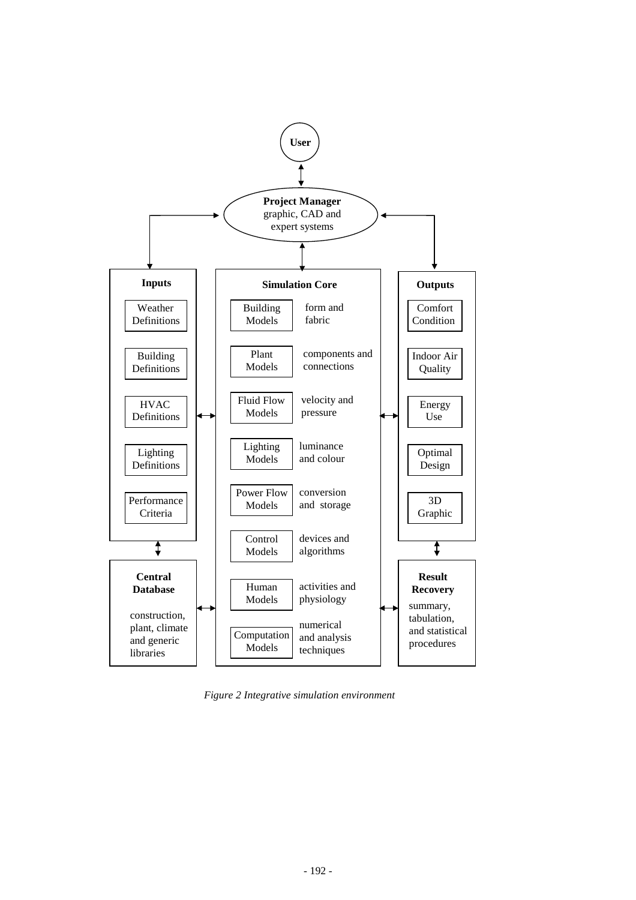

*Figure 2 Integrative simulation environment*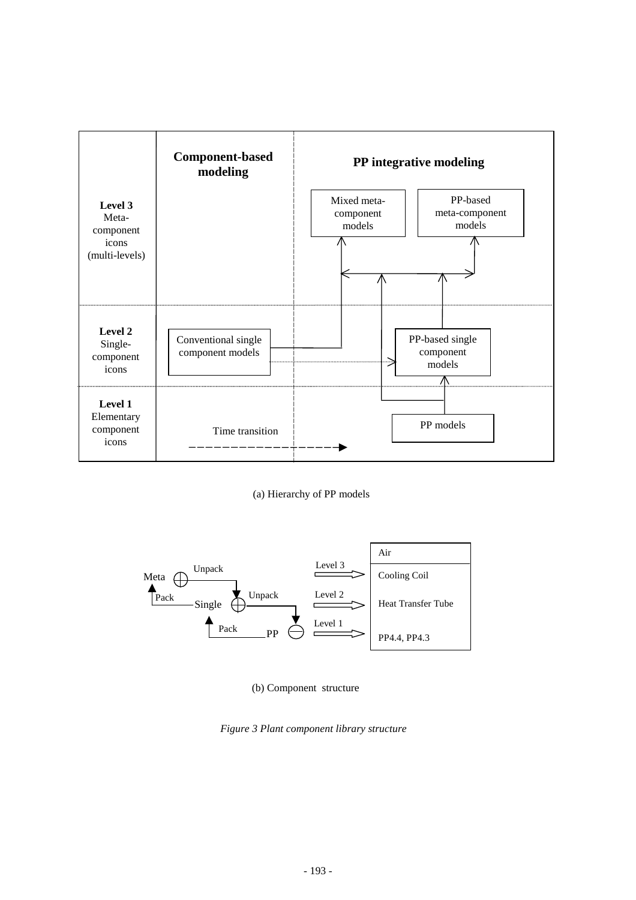

(a) Hierarchy of PP models



(b) Component structure

*Figure 3 Plant component library structure*